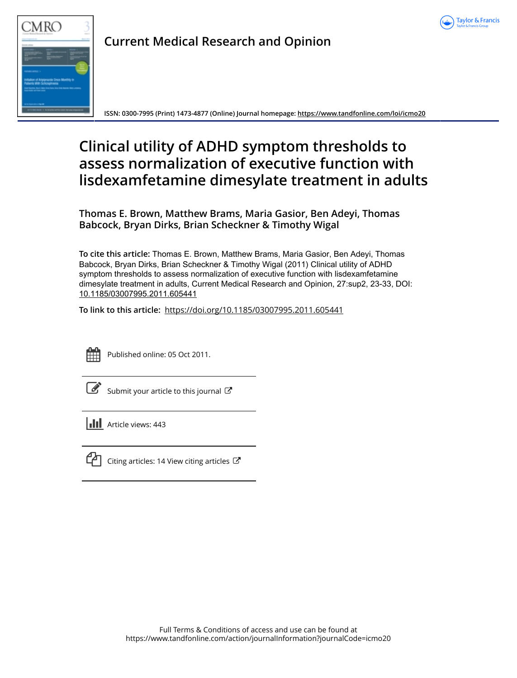



**Current Medical Research and Opinion**

**ISSN: 0300-7995 (Print) 1473-4877 (Online) Journal homepage:<https://www.tandfonline.com/loi/icmo20>**

## **Clinical utility of ADHD symptom thresholds to assess normalization of executive function with lisdexamfetamine dimesylate treatment in adults**

**Thomas E. Brown, Matthew Brams, Maria Gasior, Ben Adeyi, Thomas Babcock, Bryan Dirks, Brian Scheckner & Timothy Wigal**

**To cite this article:** Thomas E. Brown, Matthew Brams, Maria Gasior, Ben Adeyi, Thomas Babcock, Bryan Dirks, Brian Scheckner & Timothy Wigal (2011) Clinical utility of ADHD symptom thresholds to assess normalization of executive function with lisdexamfetamine dimesylate treatment in adults, Current Medical Research and Opinion, 27:sup2, 23-33, DOI: [10.1185/03007995.2011.605441](https://www.tandfonline.com/action/showCitFormats?doi=10.1185/03007995.2011.605441)

**To link to this article:** <https://doi.org/10.1185/03007995.2011.605441>



Published online: 05 Oct 2011.

| and the state of the state of the state of the state of the state of the state of the state of the state of th<br>۰. |
|----------------------------------------------------------------------------------------------------------------------|
|----------------------------------------------------------------------------------------------------------------------|

[Submit your article to this journal](https://www.tandfonline.com/action/authorSubmission?journalCode=icmo20&show=instructions)  $\mathbb{Z}$ 

 $\left\| \cdot \right\|$  Article views: 443



 $\Box$  [Citing articles: 14 View citing articles](https://www.tandfonline.com/doi/citedby/10.1185/03007995.2011.605441#tabModule)  $\Box$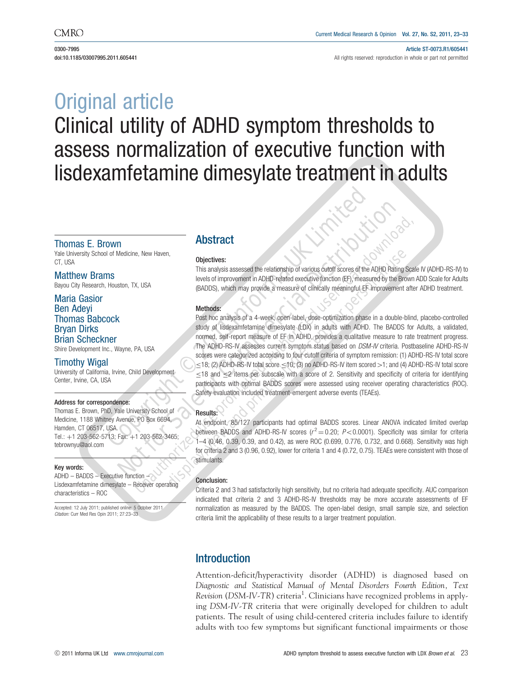0300-7995 Article ST-0073.R1/605441 doi:10.1185/03007995.2011.605441 **All rights reserved: reproduction in whole or part not permitted** 

# Original article Clinical utility of ADHD symptom thresholds to assess normalization of executive function with lisdexamfetamine dimesylate treatment in adults

### Thomas E. Brown

Yale University School of Medicine, New Haven, CT, USA

Matthew Brams Bayou City Research, Houston, TX, USA

## Maria Gasior Ben Adeyi Thomas Babcock Bryan Dirks Brian Scheckner

Shire Development Inc., Wayne, PA, USA

#### Timothy Wigal

University of California, Irvine, Child Development Center, Irvine, CA, USA

#### Address for correspondence:

Thomas E. Brown, PhD, Yale University School of Medicine, 1188 Whitney Avenue, PO Box 6694, Hamden, CT 06517, USA. Tel.: þ1 203-562-5713; Fax: þ1 203-562-3465; tebrownyu@aol.com

#### Key words:

ADHD – BADDS – Executive function – Lisdexamfetamine dimesylate – Receiver operating characteristics – ROC

Accepted: 12 July 2011; published online: 5 October 2011 Citation: Curr Med Res Opin 2011: 27:23-33

## Abstract

#### Objectives:

This analysis assessed the relationship of various cutoff scores of the ADHD Rating Scale IV (ADHD-RS-IV) to levels of improvement in ADHD-related executive function (EF), measured by the Brown ADD Scale for Adults (BADDS), which may provide <sup>a</sup> measure of clinically meaningful EF improvement after ADHD treatment.

#### Methods:

**Copyright Control Control Control Control Control Commercial Distribution Units analysis assessed the relationship of various contribution Units and Commercial Distribution Units and Commercial Distribution Units of the** Post hoc analysis of <sup>a</sup> 4-week, open-label, dose-optimization phase in <sup>a</sup> double-blind, placebo-controlled study of lisdexamfetamine dimesylate (LDX) in adults with ADHD. The BADDS for Adults, <sup>a</sup> validated, normed, self-report measure of EF in ADHD, provides <sup>a</sup> qualitative measure to rate treatment progress. The ADHD-RS-IV assesses current symptom status based on DSM-IV criteria. Postbaseline ADHD-RS-IV scores were categorized according to four cutoff criteria of symptom remission: (1) ADHD-RS-IV total score  $\le$ 18; (2) ADHD-RS-IV total score  $\le$ 10; (3) no ADHD-RS-IV item scored >1; and (4) ADHD-RS-IV total score  $\leq$ 18 and  $\leq$ 2 items per subscale with a score of 2. Sensitivity and specificity of criteria for identifying participants with optimal BADDS scores were assessed using receiver operating characteristics (ROC). Safety evaluation included treatment-emergent adverse events (TEAEs).

#### Results:

At endpoint, 85/127 participants had optimal BADDS scores. Linear ANOVA indicated limited overlap between BADDS and ADHD-RS-IV scores ( $r^2$  = 0.20;  $P$  < 0.0001). Specificity was similar for criteria 1–4 (0.46, 0.39, 0.39, and 0.42), as were ROC (0.699, 0.776, 0.732, and 0.668). Sensitivity was high for criteria 2 and 3 (0.96, 0.92), lower for criteria 1 and 4 (0.72, 0.75). TEAEs were consistent with those of stimulants.

#### Conclusion:

Criteria 2 and 3 had satisfactorily high sensitivity, but no criteria had adequate specificity. AUC comparison indicated that criteria 2 and 3 ADHD-RS-IV thresholds may be more accurate assessments of EF normalization as measured by the BADDS. The open-label design, small sample size, and selection criteria limit the applicability of these results to <sup>a</sup> larger treatment population.

## **Introduction**

Attention-deficit/hyperactivity disorder (ADHD) is diagnosed based on Diagnostic and Statistical Manual of Mental Disorders Fourth Edition, Text Revision (DSM-IV-TR) criteria<sup>1</sup>. Clinicians have recognized problems in applying DSM-IV-TR criteria that were originally developed for children to adult patients. The result of using child-centered criteria includes failure to identify adults with too few symptoms but significant functional impairments or those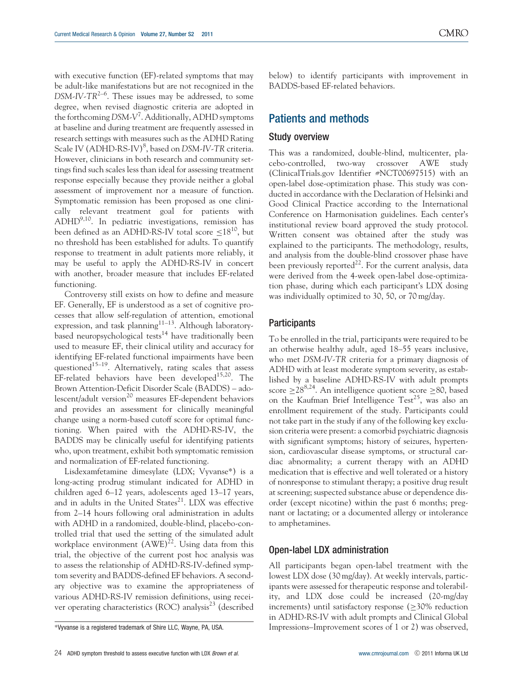with executive function (EF)-related symptoms that may be adult-like manifestations but are not recognized in the  $DSM-IV-TR^{2-6}$ . These issues may be addressed, to some degree, when revised diagnostic criteria are adopted in the forthcoming DSM-V<sup>7</sup>. Additionally, ADHD symptoms at baseline and during treatment are frequently assessed in research settings with measures such as the ADHD Rating Scale IV (ADHD-RS-IV)<sup>8</sup>, based on DSM-IV-TR criteria. However, clinicians in both research and community settings find such scales less than ideal for assessing treatment response especially because they provide neither a global assessment of improvement nor a measure of function. Symptomatic remission has been proposed as one clinically relevant treatment goal for patients with ADHD9,10. In pediatric investigations, remission has been defined as an ADHD-RS-IV total score  $\leq 18^{10}$ , but no threshold has been established for adults. To quantify response to treatment in adult patients more reliably, it may be useful to apply the ADHD-RS-IV in concert with another, broader measure that includes EF-related functioning.

Controversy still exists on how to define and measure EF. Generally, EF is understood as a set of cognitive processes that allow self-regulation of attention, emotional expression, and task planning<sup>11–13</sup>. Although laboratorybased neuropsychological tests<sup>14</sup> have traditionally been used to measure EF, their clinical utility and accuracy for identifying EF-related functional impairments have been questioned<sup>15–19</sup>. Alternatively, rating scales that assess EF-related behaviors have been developed $15,20$ . The Brown Attention-Deficit Disorder Scale (BADDS) – adolescent/adult version<sup>20</sup> measures EF-dependent behaviors and provides an assessment for clinically meaningful change using a norm-based cutoff score for optimal functioning. When paired with the ADHD-RS-IV, the BADDS may be clinically useful for identifying patients who, upon treatment, exhibit both symptomatic remission and normalization of EF-related functioning.

Lisdexamfetamine dimesylate (LDX; Vyvanse\*) is a long-acting prodrug stimulant indicated for ADHD in children aged 6–12 years, adolescents aged 13–17 years, and in adults in the United States $21$ . LDX was effective from 2–14 hours following oral administration in adults with ADHD in a randomized, double-blind, placebo-controlled trial that used the setting of the simulated adult workplace environment  $(AWE)^{22}$ . Using data from this trial, the objective of the current post hoc analysis was to assess the relationship of ADHD-RS-IV-defined symptom severity and BADDS-defined EF behaviors. A secondary objective was to examine the appropriateness of various ADHD-RS-IV remission definitions, using receiver operating characteristics (ROC) analysis<sup>23</sup> (described

below) to identify participants with improvement in BADDS-based EF-related behaviors.

## Patients and methods

## Study overview

This was a randomized, double-blind, multicenter, placebo-controlled, two-way crossover AWE study (ClinicalTrials.gov Identifier #NCT00697515) with an open-label dose-optimization phase. This study was conducted in accordance with the Declaration of Helsinki and Good Clinical Practice according to the International Conference on Harmonisation guidelines. Each center's institutional review board approved the study protocol. Written consent was obtained after the study was explained to the participants. The methodology, results, and analysis from the double-blind crossover phase have been previously reported<sup>22</sup>. For the current analysis, data were derived from the 4-week open-label dose-optimization phase, during which each participant's LDX dosing was individually optimized to 30, 50, or 70 mg/day.

#### **Participants**

To be enrolled in the trial, participants were required to be an otherwise healthy adult, aged 18–55 years inclusive, who met DSM-IV-TR criteria for a primary diagnosis of ADHD with at least moderate symptom severity, as established by a baseline ADHD-RS-IV with adult prompts score  $\geq 28^{8,24}$ . An intelligence quotient score  $\geq 80$ , based on the Kaufman Brief Intelligence  $Test^{25}$ , was also an enrollment requirement of the study. Participants could not take part in the study if any of the following key exclusion criteria were present: a comorbid psychiatric diagnosis with significant symptoms; history of seizures, hypertension, cardiovascular disease symptoms, or structural cardiac abnormality; a current therapy with an ADHD medication that is effective and well tolerated or a history of nonresponse to stimulant therapy; a positive drug result at screening; suspected substance abuse or dependence disorder (except nicotine) within the past 6 months; pregnant or lactating; or a documented allergy or intolerance to amphetamines.

#### Open-label LDX administration

All participants began open-label treatment with the lowest LDX dose (30 mg/day). At weekly intervals, participants were assessed for therapeutic response and tolerability, and LDX dose could be increased (20-mg/day increments) until satisfactory response  $($ >30% reduction in ADHD-RS-IV with adult prompts and Clinical Global \*Vyvanse is a registered trademark of Shire LLC, Wayne, PA, USA. Impressions–Improvement scores of 1 or 2) was observed,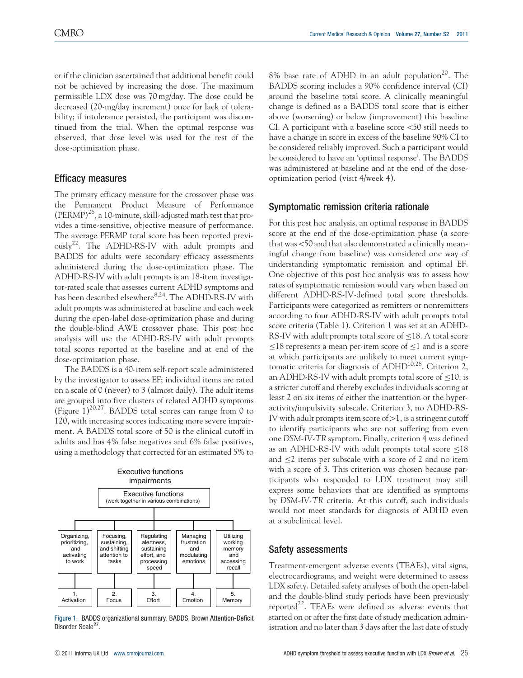or if the clinician ascertained that additional benefit could not be achieved by increasing the dose. The maximum permissible LDX dose was 70 mg/day. The dose could be decreased (20-mg/day increment) once for lack of tolerability; if intolerance persisted, the participant was discontinued from the trial. When the optimal response was observed, that dose level was used for the rest of the dose-optimization phase.

## Efficacy measures

The primary efficacy measure for the crossover phase was the Permanent Product Measure of Performance (PERMP)<sup>26</sup>, a 10-minute, skill-adjusted math test that provides a time-sensitive, objective measure of performance. The average PERMP total score has been reported previously22. The ADHD-RS-IV with adult prompts and BADDS for adults were secondary efficacy assessments administered during the dose-optimization phase. The ADHD-RS-IV with adult prompts is an 18-item investigator-rated scale that assesses current ADHD symptoms and has been described elsewhere<sup>8,24</sup>. The ADHD-RS-IV with adult prompts was administered at baseline and each week during the open-label dose-optimization phase and during the double-blind AWE crossover phase. This post hoc analysis will use the ADHD-RS-IV with adult prompts total scores reported at the baseline and at end of the dose-optimization phase.

The BADDS is a 40-item self-report scale administered by the investigator to assess EF; individual items are rated on a scale of 0 (never) to 3 (almost daily). The adult items are grouped into five clusters of related ADHD symptoms (Figure  $1$ )<sup>20,27</sup>. BADDS total scores can range from 0 to 120, with increasing scores indicating more severe impairment. A BADDS total score of 50 is the clinical cutoff in adults and has 4% false negatives and 6% false positives, using a methodology that corrected for an estimated 5% to



Figure 1. BADDS organizational summary. BADDS, Brown Attention-Deficit Disorder Scale<sup>27</sup>.

8% base rate of ADHD in an adult population<sup>20</sup>. The BADDS scoring includes a 90% confidence interval (CI) around the baseline total score. A clinically meaningful change is defined as a BADDS total score that is either above (worsening) or below (improvement) this baseline CI. A participant with a baseline score  $\leq 50$  still needs to have a change in score in excess of the baseline 90% CI to be considered reliably improved. Such a participant would be considered to have an 'optimal response'. The BADDS was administered at baseline and at the end of the doseoptimization period (visit 4/week 4).

## Symptomatic remission criteria rationale

For this post hoc analysis, an optimal response in BADDS score at the end of the dose-optimization phase (a score that was <50 and that also demonstrated a clinically meaningful change from baseline) was considered one way of understanding symptomatic remission and optimal EF. One objective of this post hoc analysis was to assess how rates of symptomatic remission would vary when based on different ADHD-RS-IV-defined total score thresholds. Participants were categorized as remitters or nonremitters according to four ADHD-RS-IV with adult prompts total score criteria (Table 1). Criterion 1 was set at an ADHD-RS-IV with adult prompts total score of  $\leq$ 18. A total score  $\leq$ 18 represents a mean per-item score of  $\leq$ 1 and is a score at which participants are unlikely to meet current symptomatic criteria for diagnosis of ADHD10,28. Criterion 2, an ADHD-RS-IV with adult prompts total score of  $\leq$ 10, is a stricter cutoff and thereby excludes individuals scoring at least 2 on six items of either the inattention or the hyperactivity/impulsivity subscale. Criterion 3, no ADHD-RS-IV with adult prompts item score of  $>1$ , is a stringent cutoff to identify participants who are not suffering from even one DSM-IV-TR symptom. Finally, criterion 4 was defined as an ADHD-RS-IV with adult prompts total score  $\leq$ 18 and  $\leq$  2 items per subscale with a score of 2 and no item with a score of 3. This criterion was chosen because participants who responded to LDX treatment may still express some behaviors that are identified as symptoms by DSM-IV-TR criteria. At this cutoff, such individuals would not meet standards for diagnosis of ADHD even at a subclinical level.

## Safety assessments

Treatment-emergent adverse events (TEAEs), vital signs, electrocardiograms, and weight were determined to assess LDX safety. Detailed safety analyses of both the open-label and the double-blind study periods have been previously reported $^{22}$ . TEAEs were defined as adverse events that started on or after the first date of study medication administration and no later than 3 days after the last date of study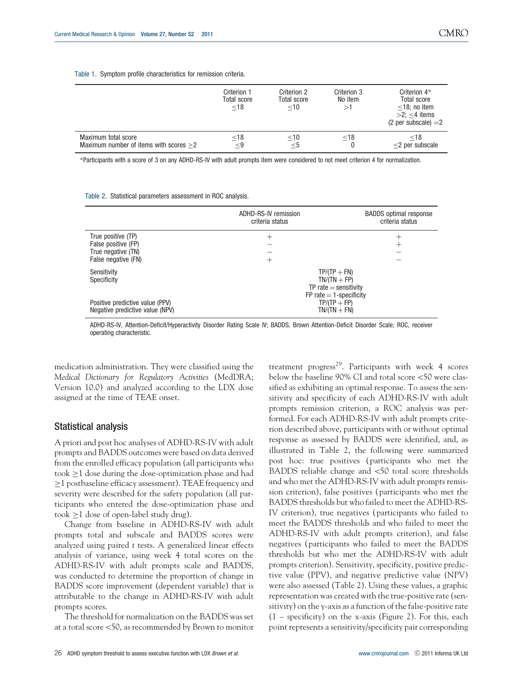#### Table 1. Symptom profile characteristics for remission criteria.

|                                          | Criterion 1<br><b>Total score</b><br>$<$ 18 | Criterion 2<br><b>Total score</b><br>$<$ 10 | Criterion 3<br>No item<br>⊳1 | Criterion 4*<br><b>Total score</b><br>$<$ 18; no item<br>$>2$ : $<$ 4 items<br>(2 per subscale) $=2$ |
|------------------------------------------|---------------------------------------------|---------------------------------------------|------------------------------|------------------------------------------------------------------------------------------------------|
| Maximum total score                      | $<$ 18                                      | $\leq 10$                                   | $<$ 18                       | $<$ 18                                                                                               |
| Maximum number of items with scores $>2$ | $<$ 9                                       | $<$ 5                                       |                              | $<$ 2 per subscale                                                                                   |

\*Participants with a score of 3 on any ADHD-RS-IV with adult prompts item were considered to not meet criterion 4 for normalization.

Table 2. Statistical parameters assessment in ROC analysis.

|                                 | ADHD-RS-IV remission<br>criteria status | <b>BADDS</b> optimal response<br>criteria status |
|---------------------------------|-----------------------------------------|--------------------------------------------------|
| True positive (TP)              | $^+$                                    | $^+$                                             |
| False positive (FP)             |                                         | $^+$                                             |
| True negative (TN)              |                                         |                                                  |
| False negative (FN)             | $^+$                                    |                                                  |
| Sensitivity                     | $TP/(TP + FN)$                          |                                                  |
| Specificity                     | $TN/(TN + FP)$                          |                                                  |
|                                 | $TP$ rate $=$ sensitivity               |                                                  |
|                                 | $FP$ rate $=$ 1-specificity             |                                                  |
| Positive predictive value (PPV) | $TP/(TP + FP)$                          |                                                  |
| Negative predictive value (NPV) | $TN/(TN + FN)$                          |                                                  |

ADHD-RS-IV, Attention-Deficit/Hyperactivity Disorder Rating Scale IV; BADDS, Brown Attention-Deficit Disorder Scale; ROC, receiver operating characteristic.

medication administration. They were classified using the Medical Dictionary for Regulatory Activities (MedDRA; Version 10.0) and analyzed according to the LDX dose assigned at the time of TEAE onset.

#### Statistical analysis

A priori and post hoc analyses of ADHD-RS-IV with adult prompts and BADDS outcomes were based on data derived from the enrolled efficacy population (all participants who took  $\geq 1$  dose during the dose-optimization phase and had  $\geq$ 1 postbaseline efficacy assessment). TEAE frequency and severity were described for the safety population (all participants who entered the dose-optimization phase and took  $\geq 1$  dose of open-label study drug).

Change from baseline in ADHD-RS-IV with adult prompts total and subscale and BADDS scores were analyzed using paired t tests. A generalized linear effects analysis of variance, using week 4 total scores on the ADHD-RS-IV with adult prompts scale and BADDS, was conducted to determine the proportion of change in BADDS score improvement (dependent variable) that is attributable to the change in ADHD-RS-IV with adult prompts scores.

The threshold for normalization on the BADDS was set at a total score  $<$ 50, as recommended by Brown to monitor

treatment progress<sup>29</sup>. Participants with week  $4$  scores below the baseline 90% CI and total score <50 were classified as exhibiting an optimal response. To assess the sensitivity and specificity of each ADHD-RS-IV with adult prompts remission criterion, a ROC analysis was performed. For each ADHD-RS-IV with adult prompts criterion described above, participants with or without optimal response as assessed by BADDS were identified, and, as illustrated in Table 2, the following were summarized post hoc: true positives (participants who met the BADDS reliable change and <50 total score thresholds and who met the ADHD-RS-IV with adult prompts remission criterion), false positives (participants who met the BADDS thresholds but who failed to meet the ADHD-RS-IV criterion), true negatives (participants who failed to meet the BADDS thresholds and who failed to meet the ADHD-RS-IV with adult prompts criterion), and false negatives (participants who failed to meet the BADDS thresholds but who met the ADHD-RS-IV with adult prompts criterion). Sensitivity, specificity, positive predictive value (PPV), and negative predictive value (NPV) were also assessed (Table 2). Using these values, a graphic representation was created with the true-positive rate (sensitivity) on the y-axis as a function of the false-positive rate  $(1 -$  specificity) on the x-axis (Figure 2). For this, each point represents a sensitivity/specificity pair corresponding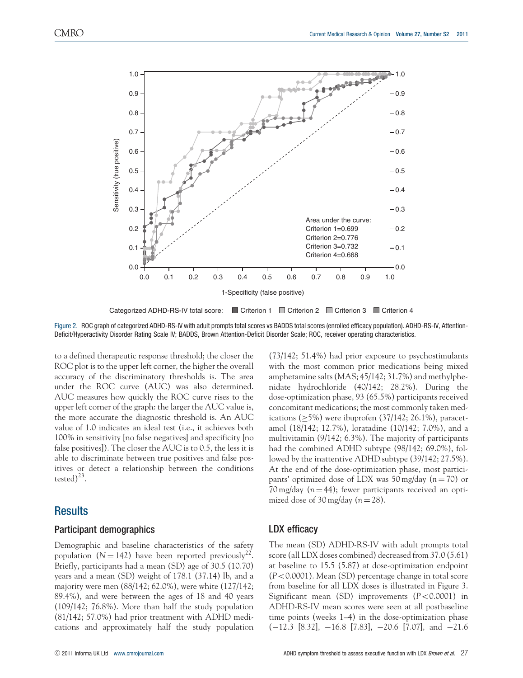

Categorized ADHD-RS-IV total score: Criterion 1 Criterion 2 Criterion 3 Criterion 4

Figure 2. ROC graph of categorized ADHD-RS-IV with adult prompts total scores vs BADDS total scores (enrolled efficacy population). ADHD-RS-IV, Attention-Deficit/Hyperactivity Disorder Rating Scale IV; BADDS, Brown Attention-Deficit Disorder Scale; ROC, receiver operating characteristics.

to a defined therapeutic response threshold; the closer the ROC plot is to the upper left corner, the higher the overall accuracy of the discriminatory thresholds is. The area under the ROC curve (AUC) was also determined. AUC measures how quickly the ROC curve rises to the upper left corner of the graph: the larger the AUC value is, the more accurate the diagnostic threshold is. An AUC value of 1.0 indicates an ideal test (i.e., it achieves both 100% in sensitivity [no false negatives] and specificity [no false positives]). The closer the AUC is to 0.5, the less it is able to discriminate between true positives and false positives or detect a relationship between the conditions tested)<sup>23</sup>.

## **Results**

#### Participant demographics

Demographic and baseline characteristics of the safety population ( $N = 142$ ) have been reported previously<sup>22</sup>. Briefly, participants had a mean (SD) age of 30.5 (10.70) years and a mean (SD) weight of 178.1 (37.14) lb, and a majority were men (88/142; 62.0%), were white (127/142; 89.4%), and were between the ages of 18 and 40 years (109/142; 76.8%). More than half the study population (81/142; 57.0%) had prior treatment with ADHD medications and approximately half the study population

(73/142; 51.4%) had prior exposure to psychostimulants with the most common prior medications being mixed amphetamine salts (MAS; 45/142; 31.7%) and methylphenidate hydrochloride (40/142; 28.2%). During the dose-optimization phase, 93 (65.5%) participants received concomitant medications; the most commonly taken medications  $(5\%)$  were ibuprofen  $(37/142; 26.1\%)$ , paracetamol (18/142; 12.7%), loratadine (10/142; 7.0%), and a multivitamin (9/142; 6.3%). The majority of participants had the combined ADHD subtype (98/142; 69.0%), followed by the inattentive ADHD subtype (39/142; 27.5%). At the end of the dose-optimization phase, most participants' optimized dose of LDX was 50 mg/day ( $n = 70$ ) or 70 mg/day ( $n = 44$ ); fewer participants received an optimized dose of 30 mg/day ( $n = 28$ ).

## LDX efficacy

The mean (SD) ADHD-RS-IV with adult prompts total score (all LDX doses combined) decreased from 37.0 (5.61) at baseline to 15.5 (5.87) at dose-optimization endpoint  $(P<0.0001)$ . Mean (SD) percentage change in total score from baseline for all LDX doses is illustrated in Figure 3. Significant mean (SD) improvements  $(P<0.0001)$  in ADHD-RS-IV mean scores were seen at all postbaseline time points (weeks 1–4) in the dose-optimization phase  $(-12.3 \ [8.32], -16.8 \ [7.83], -20.6 \ [7.07], \text{ and } -21.6$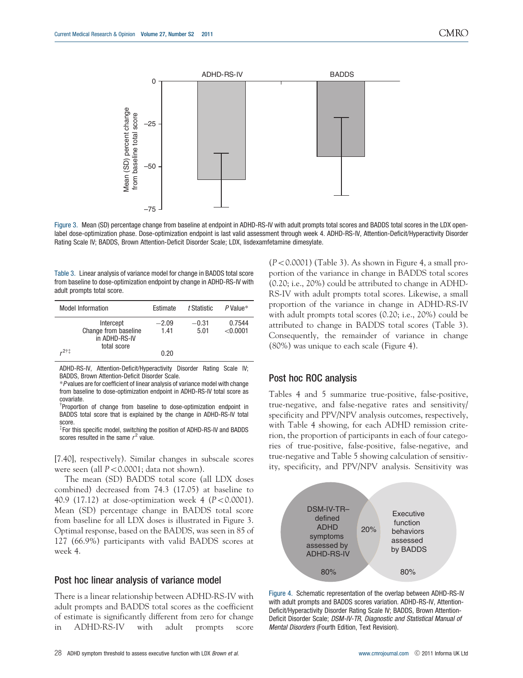

Figure 3. Mean (SD) percentage change from baseline at endpoint in ADHD-RS-IV with adult prompts total scores and BADDS total scores in the LDX openlabel dose-optimization phase. Dose-optimization endpoint is last valid assessment through week 4. ADHD-RS-IV, Attention-Deficit/Hyperactivity Disorder Rating Scale IV; BADDS, Brown Attention-Deficit Disorder Scale; LDX, lisdexamfetamine dimesylate.

Table 3. Linear analysis of variance model for change in BADDS total score from baseline to dose-optimization endpoint by change in ADHD-RS-IV with adult prompts total score.

| <b>Model Information</b>                                          | Estimate        | t Statistic     | $P$ Value*           |
|-------------------------------------------------------------------|-----------------|-----------------|----------------------|
| Intercept<br>Change from baseline<br>in ADHD-RS-IV<br>total score | $-2.09$<br>1.41 | $-0.31$<br>5.01 | 0.7544<br>$<$ 0.0001 |
| ‡†2,                                                              | 0.20            |                 |                      |

ADHD-RS-IV, Attention-Deficit/Hyperactivity Disorder Rating Scale IV; BADDS, Brown Attention-Deficit Disorder Scale.

\*P values are for coefficient of linear analysis of variance model with change from baseline to dose-optimization endpoint in ADHD-RS-IV total score as covariate.

<sup>†</sup>Proportion of change from baseline to dose-optimization endpoint in BADDS total score that is explained by the change in ADHD-RS-IV total score.

 $*$  For this specific model, switching the position of ADHD-RS-IV and BADDS scores resulted in the same  $r^2$  value.

[7.40], respectively). Similar changes in subscale scores were seen (all  $P < 0.0001$ ; data not shown).

The mean (SD) BADDS total score (all LDX doses combined) decreased from 74.3 (17.05) at baseline to 40.9 (17.12) at dose-optimization week 4 ( $P < 0.0001$ ). Mean (SD) percentage change in BADDS total score from baseline for all LDX doses is illustrated in Figure 3. Optimal response, based on the BADDS, was seen in 85 of 127 (66.9%) participants with valid BADDS scores at week 4.

#### Post hoc linear analysis of variance model

There is a linear relationship between ADHD-RS-IV with adult prompts and BADDS total scores as the coefficient of estimate is significantly different from zero for change in ADHD-RS-IV with adult prompts score  $(P<0.0001)$  (Table 3). As shown in Figure 4, a small proportion of the variance in change in BADDS total scores (0.20; i.e., 20%) could be attributed to change in ADHD-RS-IV with adult prompts total scores. Likewise, a small proportion of the variance in change in ADHD-RS-IV with adult prompts total scores (0.20; i.e., 20%) could be attributed to change in BADDS total scores (Table 3). Consequently, the remainder of variance in change (80%) was unique to each scale (Figure 4).

#### Post hoc ROC analysis

Tables 4 and 5 summarize true-positive, false-positive, true-negative, and false-negative rates and sensitivity/ specificity and PPV/NPV analysis outcomes, respectively, with Table 4 showing, for each ADHD remission criterion, the proportion of participants in each of four categories of true-positive, false-positive, false-negative, and true-negative and Table 5 showing calculation of sensitivity, specificity, and PPV/NPV analysis. Sensitivity was



Figure 4. Schematic representation of the overlap between ADHD-RS-IV with adult prompts and BADDS scores variation. ADHD-RS-IV, Attention-Deficit/Hyperactivity Disorder Rating Scale IV; BADDS, Brown Attention-Deficit Disorder Scale; DSM-IV-TR, Diagnostic and Statistical Manual of Mental Disorders (Fourth Edition, Text Revision).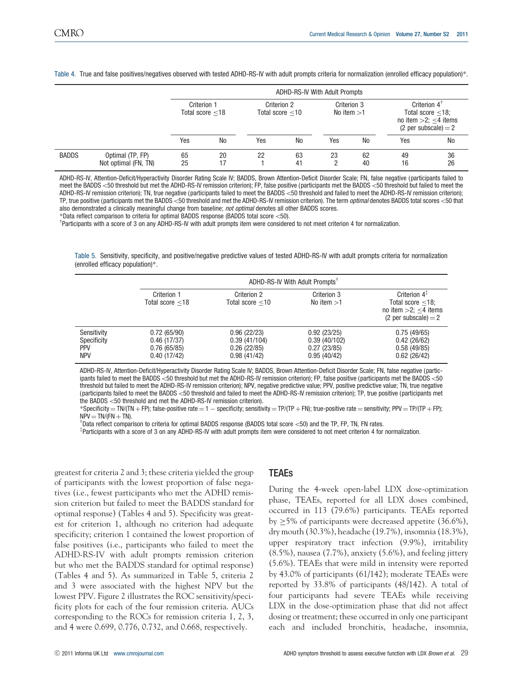Table 4. True and false positives/negatives observed with tested ADHD-RS-IV with adult prompts criteria for normalization (enrolled efficacy population)\*.

|              |                                          |          | <b>ADHD-RS-IV With Adult Prompts</b>                                   |     |                             |     |                                                                                                        |          |           |
|--------------|------------------------------------------|----------|------------------------------------------------------------------------|-----|-----------------------------|-----|--------------------------------------------------------------------------------------------------------|----------|-----------|
|              |                                          |          | Criterion 1<br>Criterion 2<br>Total score $<$ 18<br>Total score $<$ 10 |     | Criterion 3<br>No item $>1$ |     | Criterion $4^{\dagger}$<br>Total score $<$ 18;<br>no item $>2$ ; $<$ 4 items<br>$(2$ per subscale) = 2 |          |           |
|              |                                          | Yes      | No                                                                     | Yes | No                          | Yes | <b>No</b>                                                                                              | Yes      | <b>No</b> |
| <b>BADDS</b> | Optimal (TP, FP)<br>Not optimal (FN, TN) | 65<br>25 | 20<br>17                                                               | 22  | 63<br>41                    | 23  | 62<br>40                                                                                               | 49<br>16 | 36<br>26  |

ADHD-RS-IV, Attention-Deficit/Hyperactivity Disorder Rating Scale IV; BADDS, Brown Attention-Deficit Disorder Scale; FN, false negative (participants failed to meet the BADDS <50 threshold but met the ADHD-RS-IV remission criterion); FP, false positive (participants met the BADDS <50 threshold but failed to meet the ADHD-RS-IV remission criterion); TN, true negative (participants failed to meet the BADDS <50 threshold and failed to meet the ADHD-RS-IV remission criterion); TP, true positive (participants met the BADDS <50 threshold and met the ADHD-RS-IV remission criterion). The term *optimal* denotes BADDS total scores <50 that also demonstrated a clinically meaningful change from baseline; not optimal denotes all other BADDS scores.

\*Data reflect comparison to criteria for optimal BADDS response (BADDS total score <50).

<sup>†</sup>Participants with a score of 3 on any ADHD-RS-IV with adult prompts item were considered to not meet criterion 4 for normalization.

Table 5. Sensitivity, specificity, and positive/negative predictive values of tested ADHD-RS-IV with adult prompts criteria for normalization (enrolled efficacy population)\*.

|                                                        |                                                          | ADHD-RS-IV With Adult Prompts <sup>†</sup>                |                                                           |                                                                                                            |  |  |  |
|--------------------------------------------------------|----------------------------------------------------------|-----------------------------------------------------------|-----------------------------------------------------------|------------------------------------------------------------------------------------------------------------|--|--|--|
|                                                        | Criterion 1<br>Total score $<$ 18                        | Criterion 2<br>Total score $<$ 10                         | Criterion 3<br>No item $>1$                               | Criterion $4^{\frac{1}{4}}$<br>Total score $<$ 18;<br>no item $>2$ ; $<$ 4 items<br>$(2$ per subscale) = 2 |  |  |  |
| Sensitivity<br>Specificity<br><b>PPV</b><br><b>NPV</b> | 0.72(65/90)<br>0.46(17/37)<br>0.76(65/85)<br>0.40(17/42) | 0.96(22/23)<br>0.39(41/104)<br>0.26(22/85)<br>0.98(41/42) | 0.92(23/25)<br>0.39(40/102)<br>0.27(23/85)<br>0.95(40/42) | 0.75(49/65)<br>0.42(26/62)<br>0.58(49/85)<br>0.62(26/42)                                                   |  |  |  |

ADHD-RS-IV, Attention-Deficit/Hyperactivity Disorder Rating Scale IV; BADDS, Brown Attention-Deficit Disorder Scale; FN, false negative (participants failed to meet the BADDS <50 threshold but met the ADHD-RS-IV remission criterion); FP, false positive (participants met the BADDS <50 threshold but failed to meet the ADHD-RS-IV remission criterion); NPV, negative predictive value; PPV, positive predictive value; TN, true negative (participants failed to meet the BADDS <50 threshold and failed to meet the ADHD-RS-IV remission criterion); TP, true positive (participants met the BADDS  $<$ 50 threshold and met the ADHD-RS-IV remission criterion).

\*Specificity = TN/(TN + FP); false-positive rate =  $1$  - specificity; sensitivity = TP/(TP + FN); true-positive rate = sensitivity; PPV = TP/(TP + FP);  $NPV = TN/(FN + TN)$ 

<sup>†</sup>Data reflect comparison to criteria for optimal BADDS response (BADDS total score <50) and the TP, FP, TN, FN rates.

z Participants with a score of 3 on any ADHD-RS-IV with adult prompts item were considered to not meet criterion 4 for normalization.

greatest for criteria 2 and 3; these criteria yielded the group of participants with the lowest proportion of false negatives (i.e., fewest participants who met the ADHD remission criterion but failed to meet the BADDS standard for optimal response) (Tables 4 and 5). Specificity was greatest for criterion 1, although no criterion had adequate specificity; criterion 1 contained the lowest proportion of false positives (i.e., participants who failed to meet the ADHD-RS-IV with adult prompts remission criterion but who met the BADDS standard for optimal response) (Tables 4 and 5). As summarized in Table 5, criteria 2 and 3 were associated with the highest NPV but the lowest PPV. Figure 2 illustrates the ROC sensitivity/specificity plots for each of the four remission criteria. AUCs corresponding to the ROCs for remission criteria 1, 2, 3, and 4 were 0.699, 0.776, 0.732, and 0.668, respectively.

## **TEAEs**

During the 4-week open-label LDX dose-optimization phase, TEAEs, reported for all LDX doses combined, occurred in 113 (79.6%) participants. TEAEs reported by  $\geq$ 5% of participants were decreased appetite (36.6%), dry mouth (30.3%), headache (19.7%), insomnia (18.3%), upper respiratory tract infection (9.9%), irritability (8.5%), nausea (7.7%), anxiety (5.6%), and feeling jittery (5.6%). TEAEs that were mild in intensity were reported by 43.0% of participants (61/142); moderate TEAEs were reported by 33.8% of participants (48/142). A total of four participants had severe TEAEs while receiving LDX in the dose-optimization phase that did not affect dosing or treatment; these occurred in only one participant each and included bronchitis, headache, insomnia,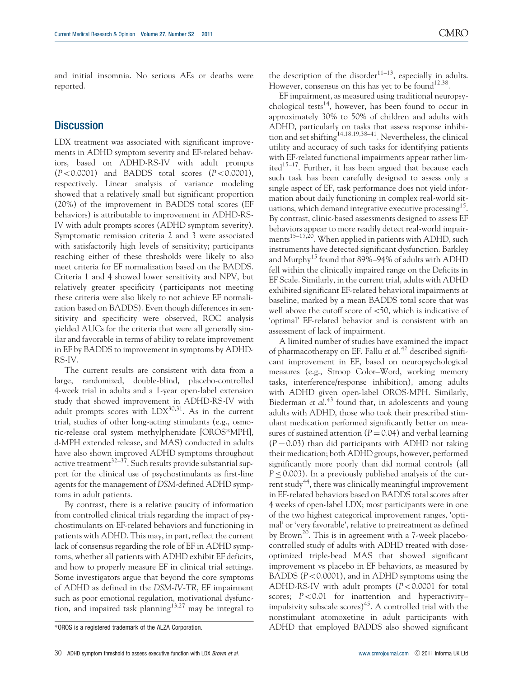and initial insomnia. No serious AEs or deaths were reported.

## **Discussion**

LDX treatment was associated with significant improvements in ADHD symptom severity and EF-related behaviors, based on ADHD-RS-IV with adult prompts  $(P<0.0001)$  and BADDS total scores  $(P<0.0001)$ , respectively. Linear analysis of variance modeling showed that a relatively small but significant proportion (20%) of the improvement in BADDS total scores (EF behaviors) is attributable to improvement in ADHD-RS-IV with adult prompts scores (ADHD symptom severity). Symptomatic remission criteria 2 and 3 were associated with satisfactorily high levels of sensitivity; participants reaching either of these thresholds were likely to also meet criteria for EF normalization based on the BADDS. Criteria 1 and 4 showed lower sensitivity and NPV, but relatively greater specificity (participants not meeting these criteria were also likely to not achieve EF normalization based on BADDS). Even though differences in sensitivity and specificity were observed, ROC analysis yielded AUCs for the criteria that were all generally similar and favorable in terms of ability to relate improvement in EF by BADDS to improvement in symptoms by ADHD-RS-IV.

The current results are consistent with data from a large, randomized, double-blind, placebo-controlled 4-week trial in adults and a 1-year open-label extension study that showed improvement in ADHD-RS-IV with adult prompts scores with  $LDX^{30,31}$ . As in the current trial, studies of other long-acting stimulants (e.g., osmotic-release oral system methylphenidate [OROS\*MPH], d-MPH extended release, and MAS) conducted in adults have also shown improved ADHD symptoms throughout active treatment<sup>32-37</sup>. Such results provide substantial support for the clinical use of psychostimulants as first-line agents for the management of DSM-defined ADHD symptoms in adult patients.

By contrast, there is a relative paucity of information from controlled clinical trials regarding the impact of psychostimulants on EF-related behaviors and functioning in patients with ADHD. This may, in part, reflect the current lack of consensus regarding the role of EF in ADHD symptoms, whether all patients with ADHD exhibit EF deficits, and how to properly measure EF in clinical trial settings. Some investigators argue that beyond the core symptoms of ADHD as defined in the DSM-IV-TR, EF impairment such as poor emotional regulation, motivational dysfunction, and impaired task planning<sup>13,27</sup> may be integral to

EF impairment, as measured using traditional neuropsychological tests<sup>14</sup>, however, has been found to occur in approximately 30% to 50% of children and adults with ADHD, particularly on tasks that assess response inhibition and set shifting<sup>14,18,19,38–41</sup>. Nevertheless, the clinical utility and accuracy of such tasks for identifying patients with EF-related functional impairments appear rather limited $15-17$ . Further, it has been argued that because each such task has been carefully designed to assess only a single aspect of EF, task performance does not yield information about daily functioning in complex real-world situations, which demand integrative executive processing<sup>15</sup>. By contrast, clinic-based assessments designed to assess EF behaviors appear to more readily detect real-world impairments<sup>15–17,20</sup>. When applied in patients with ADHD, such instruments have detected significant dysfunction. Barkley and Murphy<sup>15</sup> found that 89%–94% of adults with ADHD fell within the clinically impaired range on the Deficits in EF Scale. Similarly, in the current trial, adults with ADHD exhibited significant EF-related behavioral impairments at baseline, marked by a mean BADDS total score that was well above the cutoff score of  $<$ 50, which is indicative of 'optimal' EF-related behavior and is consistent with an assessment of lack of impairment.

A limited number of studies have examined the impact of pharmacotherapy on EF. Fallu et  $al.^{42}$  described significant improvement in EF, based on neuropsychological measures (e.g., Stroop Color–Word, working memory tasks, interference/response inhibition), among adults with ADHD given open-label OROS-MPH. Similarly, Biederman et  $al^{43}$  found that, in adolescents and young adults with ADHD, those who took their prescribed stimulant medication performed significantly better on measures of sustained attention ( $P = 0.04$ ) and verbal learning  $(P = 0.03)$  than did participants with ADHD not taking their medication; both ADHD groups, however, performed significantly more poorly than did normal controls (all  $P \leq 0.003$ ). In a previously published analysis of the current study<sup>44</sup>, there was clinically meaningful improvement in EF-related behaviors based on BADDS total scores after 4 weeks of open-label LDX; most participants were in one of the two highest categorical improvement ranges, 'optimal' or 'very favorable', relative to pretreatment as defined by Brown<sup>20</sup>. This is in agreement with a 7-week placebocontrolled study of adults with ADHD treated with doseoptimized triple-bead MAS that showed significant improvement vs placebo in EF behaviors, as measured by BADDS ( $P < 0.0001$ ), and in ADHD symptoms using the ADHD-RS-IV with adult prompts  $(P<0.0001$  for total scores;  $P < 0.01$  for inattention and hyperactivity– impulsivity subscale scores)<sup>45</sup>. A controlled trial with the nonstimulant atomoxetine in adult participants with \*OROS is a registered trademark of the ALZA Corporation. ADHD that employed BADDS also showed significant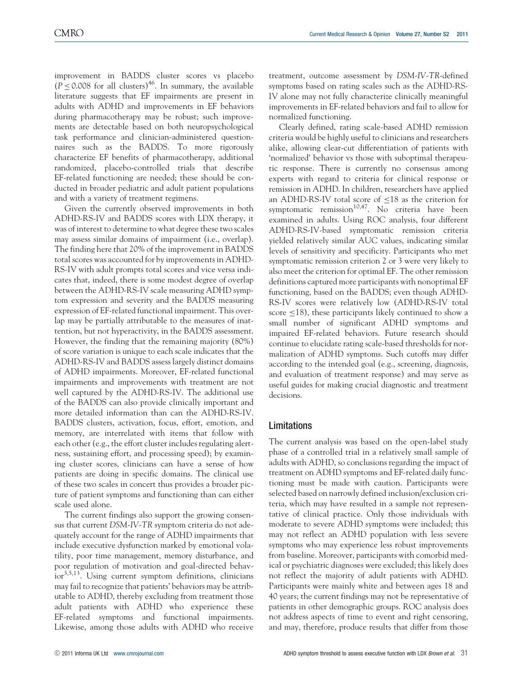improvement in BADDS cluster scores vs placebo  $(P \le 0.008$  for all clusters)<sup>46</sup>. In summary, the available literature suggests that EF impairments are present in adults with ADHD and improvements in EF behaviors during pharmacotherapy may be robust; such improvements are detectable based on both neuropsychological task performance and clinician-administered questionnaires such as the BADDS. To more rigorously characterize EF benefits of pharmacotherapy, additional randomized, placebo-controlled trials that describe EF-related functioning are needed; these should be conducted in broader pediatric and adult patient populations and with a variety of treatment regimens.

Given the currently observed improvements in both ADHD-RS-IV and BADDS scores with LDX therapy, it was of interest to determine to what degree these two scales may assess similar domains of impairment (i.e., overlap). The finding here that 20% of the improvement in BADDS total scores was accounted for by improvements in ADHD-RS-IV with adult prompts total scores and vice versa indicates that, indeed, there is some modest degree of overlap between the ADHD-RS-IV scale measuring ADHD symptom expression and severity and the BADDS measuring expression of EF-related functional impairment. This overlap may be partially attributable to the measures of inattention, but not hyperactivity, in the BADDS assessment. However, the finding that the remaining majority (80%) of score variation is unique to each scale indicates that the ADHD-RS-IV and BADDS assess largely distinct domains of ADHD impairments. Moreover, EF-related functional impairments and improvements with treatment are not well captured by the ADHD-RS-IV. The additional use of the BADDS can also provide clinically important and more detailed information than can the ADHD-RS-IV. BADDS clusters, activation, focus, effort, emotion, and memory, are interrelated with items that follow with each other (e.g., the effort cluster includes regulating alertness, sustaining effort, and processing speed); by examining cluster scores, clinicians can have a sense of how patients are doing in specific domains. The clinical use of these two scales in concert thus provides a broader picture of patient symptoms and functioning than can either scale used alone.

The current findings also support the growing consensus that current DSM-IV-TR symptom criteria do not adequately account for the range of ADHD impairments that include executive dysfunction marked by emotional volatility, poor time management, memory disturbance, and poor regulation of motivation and goal-directed behavior<sup>3,5,13</sup>. Using current symptom definitions, clinicians may fail to recognize that patients' behaviors may be attributable to ADHD, thereby excluding from treatment those adult patients with ADHD who experience these EF-related symptoms and functional impairments. Likewise, among those adults with ADHD who receive

treatment, outcome assessment by DSM-IV-TR-defined symptoms based on rating scales such as the ADHD-RS-IV alone may not fully characterize clinically meaningful improvements in EF-related behaviors and fail to allow for normalized functioning.

Clearly defined, rating scale-based ADHD remission criteria would be highly useful to clinicians and researchers alike, allowing clear-cut differentiation of patients with 'normalized' behavior vs those with suboptimal therapeutic response. There is currently no consensus among experts with regard to criteria for clinical response or remission in ADHD. In children, researchers have applied an ADHD-RS-IV total score of  $\leq$ 18 as the criterion for symptomatic remission<sup>10,47</sup>. No criteria have been examined in adults. Using ROC analysis, four different ADHD-RS-IV-based symptomatic remission criteria yielded relatively similar AUC values, indicating similar levels of sensitivity and specificity. Participants who met symptomatic remission criterion 2 or 3 were very likely to also meet the criterion for optimal EF. The other remission definitions captured more participants with nonoptimal EF functioning, based on the BADDS; even though ADHD-RS-IV scores were relatively low (ADHD-RS-IV total score  $\leq$ 18), these participants likely continued to show a small number of significant ADHD symptoms and impaired EF-related behaviors. Future research should continue to elucidate rating scale-based thresholds for normalization of ADHD symptoms. Such cutoffs may differ according to the intended goal (e.g., screening, diagnosis, and evaluation of treatment response) and may serve as useful guides for making crucial diagnostic and treatment decisions.

#### Limitations

The current analysis was based on the open-label study phase of a controlled trial in a relatively small sample of adults with ADHD, so conclusions regarding the impact of treatment on ADHD symptoms and EF-related daily functioning must be made with caution. Participants were selected based on narrowly defined inclusion/exclusion criteria, which may have resulted in a sample not representative of clinical practice. Only those individuals with moderate to severe ADHD symptoms were included; this may not reflect an ADHD population with less severe symptoms who may experience less robust improvements from baseline. Moreover, participants with comorbid medical or psychiatric diagnoses were excluded; this likely does not reflect the majority of adult patients with ADHD. Participants were mainly white and between ages 18 and 40 years; the current findings may not be representative of patients in other demographic groups. ROC analysis does not address aspects of time to event and right censoring, and may, therefore, produce results that differ from those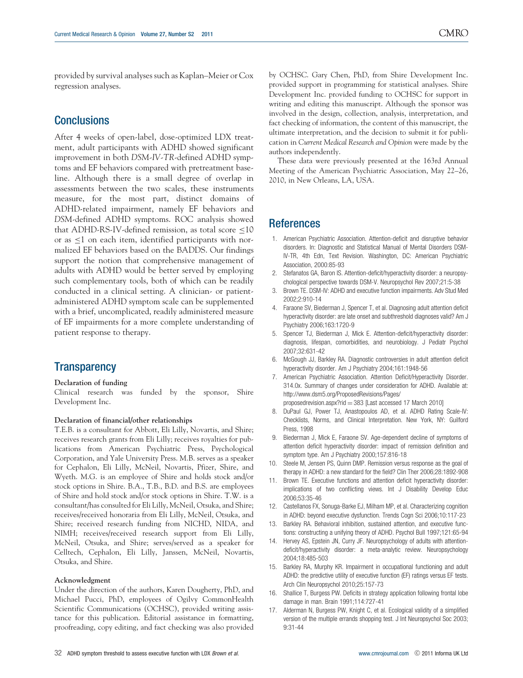provided by survival analyses such as Kaplan–Meier or Cox regression analyses.

## **Conclusions**

After 4 weeks of open-label, dose-optimized LDX treatment, adult participants with ADHD showed significant improvement in both DSM-IV-TR-defined ADHD symptoms and EF behaviors compared with pretreatment baseline. Although there is a small degree of overlap in assessments between the two scales, these instruments measure, for the most part, distinct domains of ADHD-related impairment, namely EF behaviors and DSM-defined ADHD symptoms. ROC analysis showed that ADHD-RS-IV-defined remission, as total score  $\leq$ 10 or as  $\leq$ 1 on each item, identified participants with normalized EF behaviors based on the BADDS. Our findings support the notion that comprehensive management of adults with ADHD would be better served by employing such complementary tools, both of which can be readily conducted in a clinical setting. A clinician- or patientadministered ADHD symptom scale can be supplemented with a brief, uncomplicated, readily administered measure of EF impairments for a more complete understanding of patient response to therapy.

## **Transparency**

#### Declaration of funding

Clinical research was funded by the sponsor, Shire Development Inc.

#### Declaration of financial/other relationships

T.E.B. is a consultant for Abbott, Eli Lilly, Novartis, and Shire; receives research grants from Eli Lilly; receives royalties for publications from American Psychiatric Press, Psychological Corporation, and Yale University Press. M.B. serves as a speaker for Cephalon, Eli Lilly, McNeil, Novartis, Pfizer, Shire, and Wyeth. M.G. is an employee of Shire and holds stock and/or stock options in Shire. B.A., T.B., B.D. and B.S. are employees of Shire and hold stock and/or stock options in Shire. T.W. is a consultant/has consulted for Eli Lilly, McNeil, Otsuka, and Shire; receives/received honoraria from Eli Lilly, McNeil, Otsuka, and Shire; received research funding from NICHD, NIDA, and NIMH; receives/received research support from Eli Lilly, McNeil, Otsuka, and Shire; serves/served as a speaker for Celltech, Cephalon, Eli Lilly, Janssen, McNeil, Novartis, Otsuka, and Shire.

#### Acknowledgment

Under the direction of the authors, Karen Dougherty, PhD, and Michael Pucci, PhD, employees of Ogilvy CommonHealth Scientific Communications (OCHSC), provided writing assistance for this publication. Editorial assistance in formatting, proofreading, copy editing, and fact checking was also provided

by OCHSC. Gary Chen, PhD, from Shire Development Inc. provided support in programming for statistical analyses. Shire Development Inc. provided funding to OCHSC for support in writing and editing this manuscript. Although the sponsor was involved in the design, collection, analysis, interpretation, and fact checking of information, the content of this manuscript, the ultimate interpretation, and the decision to submit it for publication in Current Medical Research and Opinion were made by the authors independently.

These data were previously presented at the 163rd Annual Meeting of the American Psychiatric Association, May 22–26, 2010, in New Orleans, LA, USA.

## **References**

- 1. American Psychiatric Association. Attention-deficit and disruptive behavior disorders. In: Diagnostic and Statistical Manual of Mental Disorders DSM-IV-TR, 4th Edn, Text Revision. Washington, DC: American Psychiatric Association, 2000:85-93
- Stefanatos GA, Baron IS. Attention-deficit/hyperactivity disorder: a neuropsychological perspective towards DSM-V. Neuropsychol Rev 2007;21:5-38
- 3. Brown TE. DSM-IV: ADHD and executive function impairments. Adv Stud Med 2002;2:910-14
- 4. Faraone SV, Biederman J, Spencer T, et al. Diagnosing adult attention deficit hyperactivity disorder: are late onset and subthreshold diagnoses valid? Am J Psychiatry 2006;163:1720-9
- 5. Spencer TJ, Biederman J, Mick E. Attention-deficit/hyperactivity disorder: diagnosis, lifespan, comorbidities, and neurobiology. J Pediatr Psychol 2007;32:631-42
- 6. McGough JJ, Barkley RA. Diagnostic controversies in adult attention deficit hyperactivity disorder. Am J Psychiatry 2004;161:1948-56
- 7. American Psychiatric Association. Attention Deficit/Hyperactivity Disorder. 314.0x. Summary of changes under consideration for ADHD. Available at: http://www.dsm5.org/ProposedRevisions/Pages/

proposedrevision.aspx?rid  $=$  383 [Last accessed 17 March 2010]

- 8. DuPaul GJ, Power TJ, Anastopoulos AD, et al. ADHD Rating Scale-IV: Checklists, Norms, and Clinical Interpretation. New York, NY: Guilford Press, 1998
- 9. Biederman J, Mick E, Faraone SV. Age-dependent decline of symptoms of attention deficit hyperactivity disorder: impact of remission definition and symptom type. Am J Psychiatry 2000;157:816-18
- 10. Steele M, Jensen PS, Quinn DMP. Remission versus response as the goal of therapy in ADHD: a new standard for the field? Clin Ther 2006;28:1892-908
- 11. Brown TE. Executive functions and attention deficit hyperactivity disorder: implications of two conflicting views. Int J Disability Develop Educ 2006;53:35-46
- 12. Castellanos FX, Sonuga-Barke EJ, Milham MP, et al. Characterizing cognition in ADHD: beyond executive dysfunction. Trends Cogn Sci 2006;10:117-23
- 13. Barkley RA. Behavioral inhibition, sustained attention, and executive functions: constructing a unifying theory of ADHD. Psychol Bull 1997;121:65-94
- 14. Hervey AS, Epstein JN, Curry JF. Neuropsychology of adults with attentiondeficit/hyperactivity disorder: a meta-analytic review. Neuropsychology 2004;18:485-503
- 15. Barkley RA, Murphy KR. Impairment in occupational functioning and adult ADHD: the predictive utility of executive function (EF) ratings versus EF tests. Arch Clin Neuropsychol 2010;25:157-73
- 16. Shallice T, Burgess PW. Deficits in strategy application following frontal lobe damage in man. Brain 1991;114:727-41
- 17. Alderman N, Burgess PW, Knight C, et al. Ecological validity of a simplified version of the multiple errands shopping test. J Int Neuropsychol Soc 2003; 9:31-44